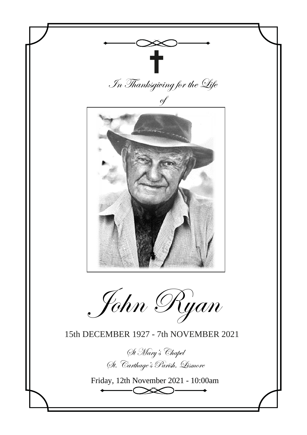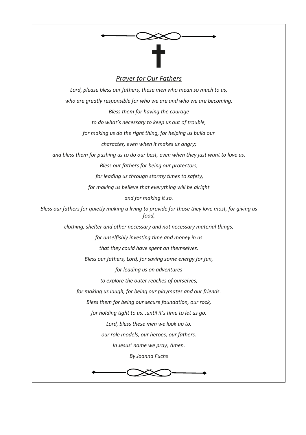

# *Prayer for Our Fathers*

*Lord, please bless our fathers, these men who mean so much to us, who are greatly responsible for who we are and who we are becoming. Bless them for having the courage to do what's necessary to keep us out of trouble, for making us do the right thing, for helping us build our character, even when it makes us angry; and bless them for pushing us to do our best, even when they just want to love us. Bless our fathers for being our protectors, for leading us through stormy times to safety, for making us believe that everything will be alright and for making it so. Bless our fathers for quietly making a living to provide for those they love most, for giving us food, clothing, shelter and other necessary and not necessary material things, for unselfishly investing time and money in us that they could have spent on themselves. Bless our fathers, Lord, for saving some energy for fun, for leading us on adventures to explore the outer reaches of ourselves, for making us laugh, for being our playmates and our friends. Bless them for being our secure foundation, our rock, for holding tight to us...until it's time to let us go. Lord, bless these men we look up to, our role models, our heroes, our fathers. In Jesus' name we pray; Amen. By Joanna Fuchs*

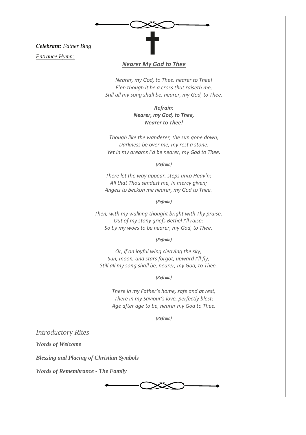*Celebrant: Father Bing*

*Entrance Hymn:*

## *Nearer My God to Thee*

*Nearer, my God, to Thee, nearer to Thee! E'en though it be a cross that raiseth me, Still all my song shall be, nearer, my God, to Thee.*

> *Refrain: Nearer, my God, to Thee, Nearer to Thee!*

*Though like the wanderer, the sun gone down, Darkness be over me, my rest a stone. Yet in my dreams I'd be nearer, my God to Thee.*

*(Refrain)*

*There let the way appear, steps unto Heav'n; All that Thou sendest me, in mercy given; Angels to beckon me nearer, my God to Thee.*

*(Refrain)*

*Then, with my walking thought bright with Thy praise, Out of my stony griefs Bethel I'll raise; So by my woes to be nearer, my God, to Thee.*

*(Refrain)*

*Or, if on joyful wing cleaving the sky, Sun, moon, and stars forgot, upward I'll fly, Still all my song shall be, nearer, my God, to Thee.*

*(Refrain)*

*There in my Father's home, safe and at rest, There in my Saviour's love, perfectly blest; Age after age to be, nearer my God to Thee.*

*(Refrain)*

*Introductory Rites*

*Words of Welcome*

*Blessing and Placing of Christian Symbols*

*Words of Remembrance - The Family*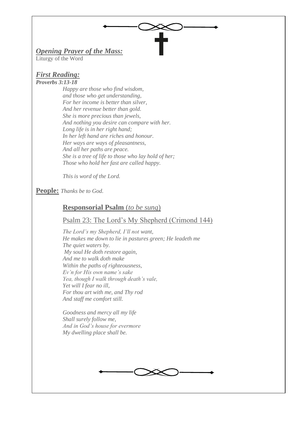# *Opening Prayer of the Mass:*

Liturgy of the Word

### *First Reading: Proverbs 3:13-18*

*Happy are those who find wisdom, and those who get understanding, For her income is better than silver, And her revenue better than gold. She is more precious than jewels, And nothing you desire can compare with her. Long life is in her right hand; In her left hand are riches and honour. Her ways are ways of pleasantness, And all her paths are peace. She is a tree of life to those who lay hold of her; Those who hold her fast are called happy.*

*This is word of the Lord.*

## **People:** *Thanks be to God.*

## **Responsorial Psalm** (*to be sung*)

## Psalm 23: The Lord's My Shepherd (Crimond 144)

*The Lord's my Shepherd, I'll not want, He makes me down to lie in pastures green; He leadeth me The quiet waters by. My soul He doth restore again, And me to walk doth make Within the paths of righteousness, Ev'n for His own name's sake Yea, though I walk through death's vale, Yet will I fear no ill, For thou art with me, and Thy rod And staff me comfort still.*

*Goodness and mercy all my life Shall surely follow me, And in God's house for evermore My dwelling place shall be.*

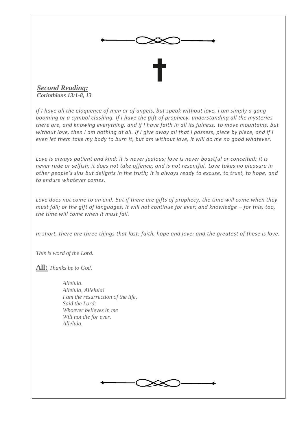

*Corinthians 13:1-8, 13*

*If I have all the eloquence of men or of angels, but speak without love, I am simply a gong booming or a cymbal clashing. If I have the gift of prophecy, understanding all the mysteries there are, and knowing everything, and if I have faith in all its fulness, to move mountains, but without love, then I am nothing at all. If I give away all that I possess, piece by piece, and if I even let them take my body to burn it, but am without love, it will do me no good whatever.*

*Love is always patient and kind; it is never jealous; love is never boastful or conceited; it is never rude or selfish; it does not take offence, and is not resentful. Love takes no pleasure in other people's sins but delights in the truth; it is always ready to excuse, to trust, to hope, and to endure whatever comes.*

Love does not come to an end. But if there are gifts of prophecy, the time will come when they *must fail; or the gift of languages, it will not continue for ever; and knowledge – for this, too, the time will come when it must fail.*

*In short, there are three things that last: faith, hope and love; and the greatest of these is love.*

*This is word of the Lord.*

**All:** *Thanks be to God.*

*Alleluia. Alleluia, Alleluia! I am the resurrection of the life, Said the Lord: Whoever believes in me Will not die for ever. Alleluia.*

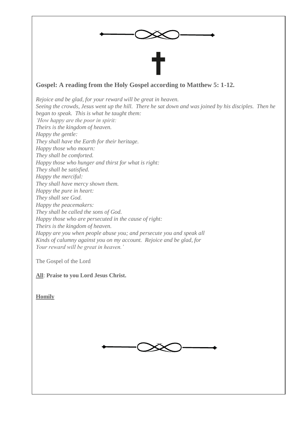

## **Gospel: A reading from the Holy Gospel according to Matthew 5: 1-12.**

*Rejoice and be glad, for your reward will be great in heaven. Seeing the crowds, Jesus went up the hill. There he sat down and was joined by his disciples. Then he began to speak. This is what he taught them: 'How happy are the poor in spirit: Theirs is the kingdom of heaven. Happy the gentle: They shall have the Earth for their heritage. Happy those who mourn: They shall be comforted. Happy those who hunger and thirst for what is right: They shall be satisfied. Happy the merciful: They shall have mercy shown them. Happy the pure in heart: They shall see God. Happy the peacemakers: They shall be called the sons of God. Happy those who are persecuted in the cause of right: Theirs is the kingdom of heaven. Happy are you when people abuse you; and persecute you and speak all Kinds of calumny against you on my account. Rejoice and be glad, for Your reward will be great in heaven.'*

The Gospel of the Lord

**All**: **Praise to you Lord Jesus Christ.**

**Homily**

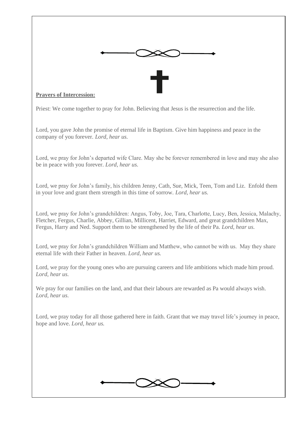

## **Prayers of Intercession:**

Priest: We come together to pray for John. Believing that Jesus is the resurrection and the life.

Lord, you gave John the promise of eternal life in Baptism. Give him happiness and peace in the company of you forever. *Lord, hear us.*

Lord, we pray for John's departed wife Clare. May she be forever remembered in love and may she also be in peace with you forever. *Lord, hear us.*

Lord, we pray for John's family, his children Jenny, Cath, Sue, Mick, Teen, Tom and Liz. Enfold them in your love and grant them strength in this time of sorrow. *Lord, hear us.*

Lord, we pray for John's grandchildren: Angus, Toby, Joe, Tara, Charlotte, Lucy, Ben, Jessica, Malachy, Fletcher, Fergus, Charlie, Abbey, Gillian, Millicent, Harriet, Edward, and great grandchildren Max, Fergus, Harry and Ned. Support them to be strengthened by the life of their Pa. *Lord, hear us.*

Lord, we pray for John's grandchildren William and Matthew, who cannot be with us. May they share eternal life with their Father in heaven. *Lord, hear us.*

Lord, we pray for the young ones who are pursuing careers and life ambitions which made him proud. *Lord, hear us.*

We pray for our families on the land, and that their labours are rewarded as Pa would always wish. *Lord, hear us.*

Lord, we pray today for all those gathered here in faith. Grant that we may travel life's journey in peace, hope and love. *Lord, hear us.*

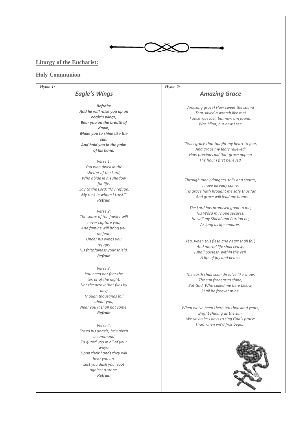

## **Liturgy of the Eucharist:**

#### **Holy Communion**

#### *Hymn 1:*

### *Eagle's Wings*

*Refrain: And he will raise you up on eagle's wings, Bear you on the breath of dawn, Make you to shine like the sun, And hold you in the palm of his hand.*

*Verse 1: You who dwell in the shelter of the Lord, Who abide in his shadow for life, Say to the Lord: "My refuge, My rock in whom I trust!" Refrain* 

*Verse 2: The snare of the fowler will never capture you, And famine will bring you no fear; Under his wings you refuge, His faithfulness your shield. Refrain* 

*Verse 3: You need not fear the terror of the night, Nor the arrow that flies by day; Though thousands fall about you, Near you it shall not come. Refrain* 

*Verse 4: For to his angels, he's given a command To guard you in all of your ways; Upon their hands they will bear you up, Lest you dash your foot against a stone. Refrain* 

# *Hymn 2:*

### *Amazing Grace*

*Amazing grace! How sweet the sound That saved a wretch like me! I once was lost, but now am found; Was blind, but now I see.*

*'Twas grace that taught my heart to fear, And grace my fears relieved; How precious did that grace appear The hour I first believed.*

*Through many dangers, toils and snares, I have already come; `Tis grace hath brought me safe thus far, And grace will lead me home.*

*The Lord has promised good to me, His Word my hope secures; He will my Shield and Portion be, As long as life endures.*

*Yea, when this flesh and heart shall fail, And mortal life shall cease, I shall possess, within the veil, A life of joy and peace.*

*The earth shall soon dissolve like snow, The sun forbear to shine; But God, Who called me here below, Shall be forever mine.*

*When we've been there ten thousand years, Bright shining as the sun, We've no less days to sing God's praise Than when we'd first begun.*

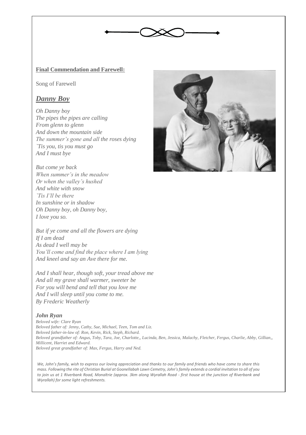

### **Final Commendation and Farewell:**

Song of Farewell

## *Danny Boy*

*Oh Danny boy The pipes the pipes are calling From glenn to glenn And down the mountain side The summer's gone and all the roses dying `Tis you, tis you must go And I must bye*

*But come ye back When summer's in the meadow Or when the valley's hushed And white with snow `Tis I'll be there In sunshine or in shadow Oh Danny boy, oh Danny boy, I love you so.*

*But if ye come and all the flowers are dying If I am dead As dead I well may be You'll come and find the place where I am lying And kneel and say an Ave there for me.*

*And I shall hear, though soft, your tread above me And all my grave shall warmer, sweeter be For you will bend and tell that you love me And I will sleep until you come to me. By Frederic Weatherly*

### *John Ryan*

*Beloved wife: Clare Ryan Beloved father of: Jenny, Cathy, Sue, Michael, Teen, Tom and Liz. Beloved father-in-law of: Ron, Kevin, Rick, Steph, Richard. Beloved grandfather of: Angus, Toby, Tara, Joe, Charlotte,, Lucinda, Ben, Jessica, Malachy, Fletcher, Fergus, Charlie, Abby, Gillian,, Millicent, Harriet and Edward. Beloved great grandfather of: Max, Fergus, Harry and Ned.*

*We, John's family, wish to express our loving appreciation and thanks to our family and friends who have come to share this mass. Following the rite of Christian Burial at Goonellabah Lawn Cemetry, John's family extends a cordial invitation to all of you to join us at 1 Riverbank Road, Monaltrie (approx. 3km along Wyrallah Road - first house at the junction of Riverbank and Wyrallah) for some light refreshments.*

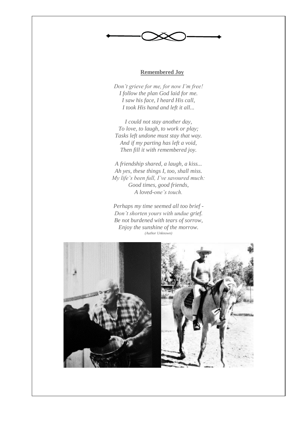### **Remembered Joy**

Ì.

*Don't grieve for me, for now I'm free! I follow the plan God laid for me. I saw his face, I heard His call, I took His hand and left it all...*

*I could not stay another day, To love, to laugh, to work or play; Tasks left undone must stay that way. And if my parting has left a void, Then fill it with remembered joy.*

*A friendship shared, a laugh, a kiss... Ah yes, these things I, too, shall miss. My life's been full, I've savoured much: Good times, good friends, A loved-one's touch.*

*Perhaps my time seemed all too brief - Don't shorten yours with undue grief. Be not burdened with tears of sorrow, Enjoy the sunshine of the morrow. (Author Unknown)*